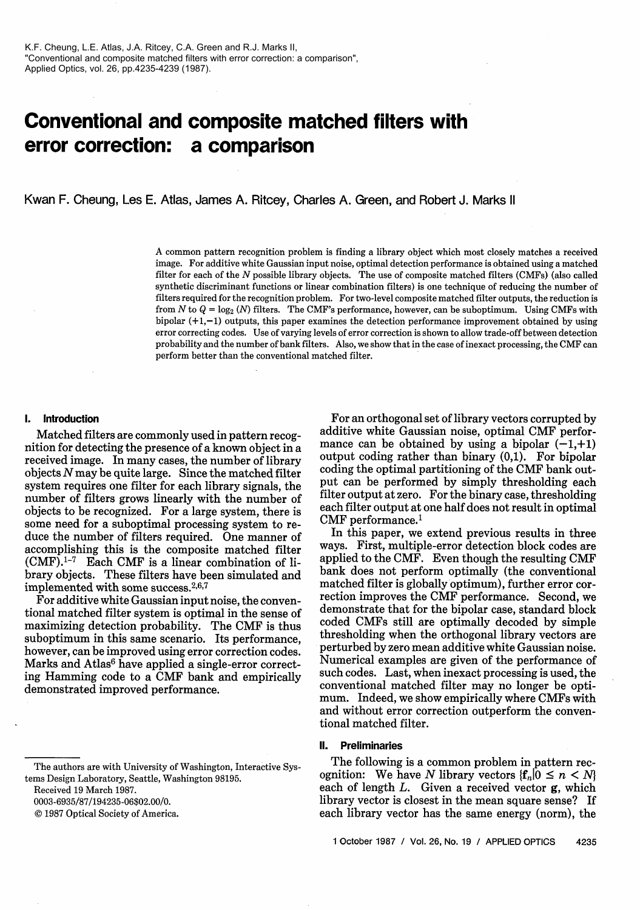# **Conventional and composite matched filters with error correction: a comparison**

Kwan F. Cheung, Les E. Atlas, James A. Ritcey, Charles A. Green, and Robert J. Marks 11

A common pattern recognition problem is finding a library object which most closely matches a received image. For additive white Gaussian input noise, optimal detection performance is obtained using a matched filter for each of the *N* possible library objects. The use of composite matched filters (CMFs) (also called synthetic discriminant functions or linear combination filters) is one technique of reducing the number of filters required for the recognition problem. For two-level composite matched filter outputs, the reduction is from *N* to  $Q = \log_2 (N)$  filters. The CMF's performance, however, can be suboptimum. Using CMFs with bipolar  $(+1,-1)$  outputs, this paper examines the detection performance improvement obtained by using error correcting codes. Use of varying levels of error correction is shown to allow trade-off between detection probability and the number of bank filters. Also, we show that in the case of inexact processing, the CMF can perform better than the conventional matched filter.

# **1. Introduction**

Matched filters are commonly used in pattern recognition for detecting the presence of a known object in a received image. In many cases, the number of library objects  $N$  may be quite large. Since the matched filter system requires one filter for each library signals, the number of filters grows linearly with the number of objects to be recognized. For a large system, there is some need for a suboptimal processing system to reduce the number of filters required. One manner of accomplishing this is the composite matched filter  $(CMF).<sup>1-7</sup>$  Each CMF is a linear combination of library objects. These filters have been simulated and implemented with some success.<sup>2,6,7</sup>

For additive white Gaussian input noise, the conventional matched filter system is optimal in the sense of maximizing detection probability. The CMF is thus suboptimum in this same scenario. Its performance, however, can be improved using error correction codes. Marks and Atlas<sup>6</sup> have applied a single-error correcting Hamming code to a CMF bank and empirically demonstrated improved performance.

Received 19 March 1987.

0003-6935/87/194235-06\$02.00/0.

 $© 1987 Optical Society of America.$ 

For an orthogonal set of library vectors corrupted by additive white Gaussian noise, optimal CMF performance can be obtained by using a bipolar  $(-1, +1)$ output coding rather than binary (0,1). For bipolar coding the optimal partitioning of the CMF bank output can be performed by simply thresholding each filter output at zero. For the binary case, thresholding each filter output at one half does not result in optimal CMF performance.<sup>1</sup>

In this paper, we extend previous results in three ways. First, multiple-error detection block codes are applied to the CMF. Even though the resulting CMF bank does not perform optimally (the conventional matched filter is globally optimum), further error correction improves the CMF performance. Second, we demonstrate that for the bipolar case, standard block coded CMFs still are optimally decoded by simple thresholding when the orthogonal library vectors are perturbed by zero mean additive white Gaussian noise. Numerical examples are given of the performance of such codes. Last, when inexact processing is used, the conventional matched filter may no longer be optimum. Indeed, we show empirically where CMFs with and without error correction outperform the conventional matched filter.

# **II. Preliminaries**

The following is a common problem in pattern recognition: We have N library vectors  ${f_n | 0 \le n \le N}$ each of length  $L$ . Given a received vector  $g$ , which library vector is closest in the mean square sense? If each library vector has the same energy (norm), the

The authors are with University of Washington, Interactive Systems Design Laboratory, Seattle, Washington 98195.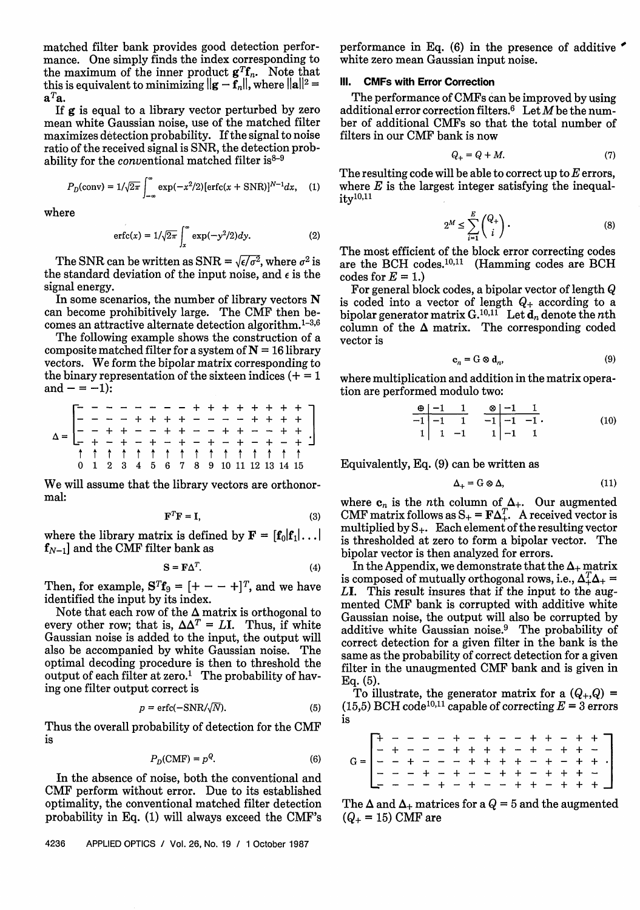matched filter bank provides good detection performance. One simply finds the index corresponding to the maximum of the inner product  $\mathbf{g}^T \mathbf{f}_n$ . Note that this is equivalent to minimizing  $||\mathbf{g} - \bar{\mathbf{f}}_n||$ , where  $||\mathbf{a}||^2 =$ *aTa.*

If g is equal to a library vector perturbed by zero mean white Gaussian noise, use of the matched filter maximizes detection probability. If the signal to noise ratio of the received signal is SNR, the detection probability for the conventional matched filter is  $8-9$ 

$$
P_D(\text{conv}) = 1/\sqrt{2\pi} \int_{-\infty}^{\infty} \exp(-x^2/2) [\text{erfc}(x + \text{SNR})]^{N-1} dx, \quad (1)
$$

where

$$
\operatorname{erfc}(x) = 1/\sqrt{2\pi} \int_x^\infty \exp(-y^2/2) dy. \tag{2}
$$

The SNR can be written as SNR =  $\sqrt{\epsilon}/\sigma^2$ , where  $\sigma^2$  is the standard deviation of the input noise, and  $\epsilon$  is the signal energy.

In some scenarios, the number of library vectors  $N$ can become prohibitively large. The CMF then becomes an attractive alternate detection algorithm.<sup>1-3,6</sup>

The following example shows the construction of a composite matched filter for a system of  $N = 16$  library vectors. We form the bipolar matrix corresponding to the binary representation of the sixteen indices  $(+) = 1$ and  $- = -1$ :

| __ __ _ _ _ _ _ _ + + + + + + + +<br>_ _ _ + + + - - - - + + + + +<br>_ _ + + - - + + - - + + - - + + + +<br>_ _ + - + - + - + - + - + - + - + |  |  |  |  |  |                                       |  |  |  |
|------------------------------------------------------------------------------------------------------------------------------------------------|--|--|--|--|--|---------------------------------------|--|--|--|
|                                                                                                                                                |  |  |  |  |  |                                       |  |  |  |
|                                                                                                                                                |  |  |  |  |  | 1 1 1 1 1 1 1 1 1 1 1 1 1 1 1         |  |  |  |
|                                                                                                                                                |  |  |  |  |  | 0 1 2 3 4 5 6 7 8 9 10 11 12 13 14 15 |  |  |  |

We will assume that the library vectors are orthonormal:

$$
\mathbf{F}^T \mathbf{F} = \mathbf{I},\tag{3}
$$

where the library matrix is defined by  $\mathbf{F} = [\mathbf{f}_0 | \mathbf{f}_1 | \dots |$  $f_{N-1}$  and the CMF filter bank as

$$
S = F\Delta^T.
$$
 (4)

Then, for example,  $S^{T}f_{9} = [+ - - +]^{T}$ , and we have identified the input by its index.

Note that each row of the  $\Delta$  matrix is orthogonal to every other row; that is,  $\Delta \Delta^T = L$ **I**. Thus, if white Gaussian noise is added to the input, the output will also be accompanied by white Gaussian noise. The optimal decoding procedure is then to threshold the output of each filter at zero.<sup>1</sup> The probability of having one filter output correct is

$$
p = \text{erfc}(-\text{SNR}/\sqrt{N}).\tag{5}
$$

Thus the overall probability of detection for the CMF is

$$
P_D(\text{CMF}) = p^Q. \tag{6}
$$

In the absence of noise, both the conventional and CMF perform without error. Due to its established optimality, the conventional matched filter detection probability in Eq. (1) will always exceed the CMF's

4236 APPLIED OPTICS / Vol. 26, No. 19 **/** 1 October 1987

performance in Eq. (6) in the presence of additive ' white zero mean Gaussian input noise.

# **111. CMFs with Error Correction**

The performance of CMFs can be improved by using additional error correction filters.<sup>6</sup> Let  $M$  be the number of additional CMFs so that the total number of filters in our CMF bank is now

$$
Q_+ = Q + M. \tag{7}
$$

The resulting code will be able to correct up to  $E$  errors, where  $E$  is the largest integer satisfying the inequal-<br>ity<sup>10,11</sup>

$$
2^M \le \sum_{i=1}^E \binom{Q_+}{i} \,. \tag{8}
$$

The most efficient of the block error correcting codes are the BCH codes.<sup>10,11</sup> (Hamming codes are BCH codes for  $E = 1$ .)

For general block codes, a bipolar vector of length Q is coded into a vector of length  $Q_+$  according to a bipolar generator matrix  $G^{10,11}$  Let  $d_n$  denote the nth column of the  $\Delta$  matrix. The corresponding coded vector is

$$
\mathbf{c}_n = \mathbf{G} \otimes \mathbf{d}_n,\tag{9}
$$

where multiplication and addition in the matrix operation are performed modulo two:

$$
\begin{array}{c|cccc}\n\oplus & -1 & 1 & \otimes & -1 & 1 \\
\hline\n-1 & -1 & 1 & -1 & -1 & -1 \\
1 & 1 & -1 & 1 & -1 & 1\n\end{array} (10)
$$

Equivalently, Eq. (9) can be written as

$$
\Delta_+ = G \otimes \Delta, \tag{11}
$$

where  $c_n$  is the *n*th column of  $\Delta_+$ . Our augmented CMF matrix follows as  $S_+ = F\Delta_+^T$ . A received vector is multiplied by S+. Each element of the resulting vector is thresholded at zero to form a bipolar vector. The bipolar vector is then analyzed for errors.

In the Appendix, we demonstrate that the  $\Delta_+$  matrix is composed of mutually orthogonal rows, i.e.,  $\Delta_+^T \Delta_+$  = LI. This result insures that if the input to the augmented CMF bank is corrupted with additive white Gaussian noise, the output will also be corrupted by additive white Gaussian noise.9 The probability of correct detection for a given filter in the bank is the same as the probability of correct detection for a given filter in the unaugmented CMF bank and is given in Eq. (5).

To illustrate, the generator matrix for a  $(Q_+,Q)$  = (15,5) BCH code<sup>10,11</sup> capable of correcting  $E = 3$  errors is

The  $\Delta$  and  $\Delta_+$  matrices for a  $Q = 5$  and the augmented  $(Q_{+} = 15)$  CMF are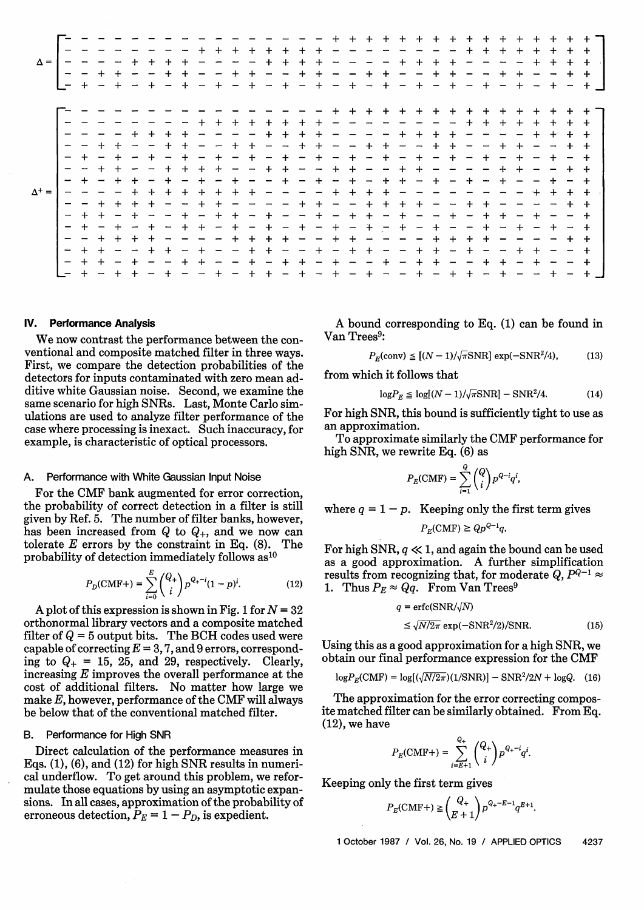|                                                      |                                                                                                                                                                                                                                                                                                                                                                                              |                          |                          |                          | $\Delta^+$ =             |                          |                          |                          |                                             |                          |                          |                             | $\Delta =$                                                                                                                                                                                                                                                                                                                                                                                                                                                                            |
|------------------------------------------------------|----------------------------------------------------------------------------------------------------------------------------------------------------------------------------------------------------------------------------------------------------------------------------------------------------------------------------------------------------------------------------------------------|--------------------------|--------------------------|--------------------------|--------------------------|--------------------------|--------------------------|--------------------------|---------------------------------------------|--------------------------|--------------------------|-----------------------------|---------------------------------------------------------------------------------------------------------------------------------------------------------------------------------------------------------------------------------------------------------------------------------------------------------------------------------------------------------------------------------------------------------------------------------------------------------------------------------------|
| $\rightarrow$<br>$\overline{\phantom{a}}$            |                                                                                                                                                                                                                                                                                                                                                                                              |                          |                          |                          |                          | $\overline{\phantom{a}}$ |                          |                          |                                             |                          |                          |                             | $1 - -$                                                                                                                                                                                                                                                                                                                                                                                                                                                                               |
| $\overline{\phantom{m}}$<br>$+$<br>$\ddot{}$         |                                                                                                                                                                                                                                                                                                                                                                                              | $+$                      | $\div$                   | $\qquad \qquad -$        |                          | $+$                      | —                        | $\ddot{}$                |                                             |                          |                          |                             | $\div$                                                                                                                                                                                                                                                                                                                                                                                                                                                                                |
| $\ddot{}$<br>$+$<br>$+$                              |                                                                                                                                                                                                                                                                                                                                                                                              | $\overline{\phantom{a}}$ | $\ddot{}$                | $+$                      | $\overline{\phantom{m}}$ | $\overline{\phantom{0}}$ | $\ddot{}$                |                          |                                             |                          |                          |                             | $\overline{\phantom{0}}$<br>$+$                                                                                                                                                                                                                                                                                                                                                                                                                                                       |
| $\sim$ $-$                                           | $+$                                                                                                                                                                                                                                                                                                                                                                                          | $+$                      |                          | $+$                      | $\overline{\phantom{0}}$ | $+$                      |                          |                          |                                             |                          |                          |                             |                                                                                                                                                                                                                                                                                                                                                                                                                                                                                       |
| $\overline{\phantom{a}}$                             | $\ddot{+}$                                                                                                                                                                                                                                                                                                                                                                                   |                          | $\ddot{}$                | $+$                      | $\ddot{}$                | $+$                      |                          |                          |                                             |                          |                          |                             | $\begin{array}{ccccccccccccc} \multicolumn{2}{c}{} & \multicolumn{2}{c}{} & \multicolumn{2}{c}{} & \multicolumn{2}{c}{} & \multicolumn{2}{c}{} & \multicolumn{2}{c}{} & \multicolumn{2}{c}{} & \multicolumn{2}{c}{} & \multicolumn{2}{c}{} & \multicolumn{2}{c}{} & \multicolumn{2}{c}{} & \multicolumn{2}{c}{} & \multicolumn{2}{c}{} & \multicolumn{2}{c}{} & \multicolumn{2}{c}{} & \multicolumn{2}{c}{} & \multicolumn{2}{c}{} & \multicolumn{2}{c}{} & \multicolumn{2}{c}{} & \$ |
| $+$                                                  | $+$                                                                                                                                                                                                                                                                                                                                                                                          | $+$                      |                          | $+$                      | $+$                      |                          | $\overline{\phantom{a}}$ | $+$                      |                                             |                          |                          |                             | $+$<br>$+$                                                                                                                                                                                                                                                                                                                                                                                                                                                                            |
| $+$                                                  | $\overline{\phantom{a}}$                                                                                                                                                                                                                                                                                                                                                                     |                          | $\overline{\phantom{m}}$ |                          | $+$                      | $+$                      | $+$                      |                          | $+$                                         |                          |                          |                             | $+$<br>$+$                                                                                                                                                                                                                                                                                                                                                                                                                                                                            |
| $\overline{\phantom{a}}$<br>$+ - - +$                | $\overline{\phantom{a}}$                                                                                                                                                                                                                                                                                                                                                                     | $+$                      | $+$                      | $\overline{\phantom{0}}$ | $\ddot{}$                | $\overline{\phantom{m}}$ | $+$                      | $+$                      | $+$                                         | $+$                      |                          |                             | $+$<br>$+$<br>$+$                                                                                                                                                                                                                                                                                                                                                                                                                                                                     |
| $+$ $-$<br>$+$                                       | $ -$                                                                                                                                                                                                                                                                                                                                                                                         | $+$                      | $\overline{\phantom{a}}$ | $+$                      | $+$                      | $+$                      | $+$                      |                          | $\overline{\phantom{a}}$                    |                          |                          |                             |                                                                                                                                                                                                                                                                                                                                                                                                                                                                                       |
| $\qquad \qquad -$                                    |                                                                                                                                                                                                                                                                                                                                                                                              | $\overline{\phantom{0}}$ | $+$                      | $+$                      | $\ddot{}$                | $\overline{\phantom{a}}$ | $+$                      |                          | $\overline{\phantom{a}}$                    |                          |                          |                             | $+$<br>$+$                                                                                                                                                                                                                                                                                                                                                                                                                                                                            |
| $\overline{\phantom{m}}$                             | $+$                                                                                                                                                                                                                                                                                                                                                                                          | $+$                      | $+$                      | $\overline{\phantom{0}}$ | $+$                      | $+$                      | $\overline{\phantom{m}}$ |                          | $\ddot{}$                                   | $\overline{\phantom{a}}$ | $+$                      |                             | $\overline{\phantom{a}}$<br>$+$<br>$\qquad \qquad -$                                                                                                                                                                                                                                                                                                                                                                                                                                  |
| $+$<br>$\div$                                        | $+$                                                                                                                                                                                                                                                                                                                                                                                          | $\overline{\phantom{0}}$ |                          |                          | $+$                      |                          | $\overline{\phantom{a}}$ | $+$                      | $+$                                         | $\sim$                   |                          |                             | $-$ - - - - - - +<br>$+ + +$<br>$\overline{\phantom{a}}$<br>$+$<br>$+$                                                                                                                                                                                                                                                                                                                                                                                                                |
| $+$<br>$\overline{\phantom{0}}$                      | $+$                                                                                                                                                                                                                                                                                                                                                                                          | $+$                      | $+$                      | $\overline{\phantom{0}}$ | $\overline{\phantom{a}}$ |                          | $+$                      | $\overline{\phantom{0}}$ | $\qquad \qquad$                             | $+$                      | $+ +$                    |                             | $+$<br>$\overline{\phantom{a}}$<br>$\overline{\phantom{a}}$                                                                                                                                                                                                                                                                                                                                                                                                                           |
| $\overline{\phantom{a}}$                             | $+$                                                                                                                                                                                                                                                                                                                                                                                          | $\overline{\phantom{a}}$ | $\overline{\phantom{a}}$ | $\qquad \qquad -$        | $\sim$                   | $+$                      | $+$                      | $+$                      | $\overline{\phantom{0}}$                    | $+$                      |                          |                             | $+$<br>$\overline{\phantom{a}}$<br>$+$                                                                                                                                                                                                                                                                                                                                                                                                                                                |
| $\overline{\phantom{m}}$<br>$+ + - + -$              |                                                                                                                                                                                                                                                                                                                                                                                              | $+$                      | $\overline{\phantom{a}}$ | $+$                      | $\sim$ $\sim$            | $\overline{\phantom{m}}$ | $\sim$                   |                          | $+$                                         | $+$                      | $+ + +$                  |                             | $+$ $+$<br>$+$<br>$\qquad \qquad -$                                                                                                                                                                                                                                                                                                                                                                                                                                                   |
| $+$                                                  | $\frac{1}{2} \frac{1}{2} \frac{1}{2} \frac{1}{2} \frac{1}{2} \frac{1}{2} \frac{1}{2} \frac{1}{2} \frac{1}{2} \frac{1}{2} \frac{1}{2} \frac{1}{2} \frac{1}{2} \frac{1}{2} \frac{1}{2} \frac{1}{2} \frac{1}{2} \frac{1}{2} \frac{1}{2} \frac{1}{2} \frac{1}{2} \frac{1}{2} \frac{1}{2} \frac{1}{2} \frac{1}{2} \frac{1}{2} \frac{1}{2} \frac{1}{2} \frac{1}{2} \frac{1}{2} \frac{1}{2} \frac{$ | $\overline{\phantom{a}}$ | $+$                      | $+$                      |                          | $+$                      | $\sim$                   | $+$                      | $+$                                         | $+$                      |                          |                             | $+$<br>$+$                                                                                                                                                                                                                                                                                                                                                                                                                                                                            |
| $\overline{\phantom{m}}$                             | $+$                                                                                                                                                                                                                                                                                                                                                                                          | $+ -$                    |                          | $\overline{\phantom{a}}$ | $+$                      | $\overline{\phantom{a}}$ | $+$                      | $\overline{\phantom{m}}$ | $\longrightarrow$ $\quad$ $\longrightarrow$ | $\overline{\phantom{a}}$ | $\overline{\phantom{a}}$ |                             | $-$                                                                                                                                                                                                                                                                                                                                                                                                                                                                                   |
|                                                      | $+$                                                                                                                                                                                                                                                                                                                                                                                          |                          | $- +$                    | $\overline{\phantom{a}}$ |                          | $+ -$                    | $+$                      | $+$                      |                                             | $\overline{\phantom{a}}$ | $\sim$                   |                             | $+ + - - -$<br>$+ - - + +$<br>$+$                                                                                                                                                                                                                                                                                                                                                                                                                                                     |
|                                                      |                                                                                                                                                                                                                                                                                                                                                                                              | $+$                      | $+$                      | $+$                      |                          |                          | $\overline{\phantom{a}}$ | $\frac{1}{2}$            | $+$                                         | $\overline{\phantom{0}}$ |                          |                             | $\overline{\phantom{a}}$                                                                                                                                                                                                                                                                                                                                                                                                                                                              |
| $- + -$                                              |                                                                                                                                                                                                                                                                                                                                                                                              | $\tau$                   | $\overline{\phantom{a}}$ | $+$                      |                          | $+$                      | $\overline{\phantom{a}}$ | $+$                      | $+$                                         | $\overline{\phantom{a}}$ |                          |                             | $\sim$<br>$+$                                                                                                                                                                                                                                                                                                                                                                                                                                                                         |
| $+ + - - +$                                          |                                                                                                                                                                                                                                                                                                                                                                                              | $+$                      | $+$                      | $+$                      |                          | $+$                      | $+$                      | $\overline{\phantom{a}}$ | $\overline{\phantom{a}}$                    | $+$                      |                          |                             | $+$<br>Ľ,<br>$\sim$                                                                                                                                                                                                                                                                                                                                                                                                                                                                   |
| $+$                                                  |                                                                                                                                                                                                                                                                                                                                                                                              | $\overline{\phantom{m}}$ | $\overline{\phantom{a}}$ | $+ -$                    |                          | $\overline{\phantom{m}}$ | $+$                      | $+$                      | $\overline{\phantom{m}}$                    | $+$                      |                          |                             | $\frac{1}{2}$<br>$+$                                                                                                                                                                                                                                                                                                                                                                                                                                                                  |
| $+$<br>$+$                                           | $+$                                                                                                                                                                                                                                                                                                                                                                                          | $+ -$                    | $- +$                    |                          | + + + - - - - - - -      | $+$                      | $\overline{\phantom{a}}$ |                          | $+$                                         | $+$                      | -------                  |                             | $+ +$<br>$+$<br>$\overline{\phantom{m}}$                                                                                                                                                                                                                                                                                                                                                                                                                                              |
| $\overline{\phantom{m}}$<br>$\overline{\phantom{a}}$ | $+$                                                                                                                                                                                                                                                                                                                                                                                          |                          |                          | سد                       |                          | $\sim$                   |                          | $+$                      | $+$                                         | $\ddot{}$                |                          |                             | $+$<br>$+$<br>$+$                                                                                                                                                                                                                                                                                                                                                                                                                                                                     |
| $+$                                                  | $+$                                                                                                                                                                                                                                                                                                                                                                                          | $\overline{\phantom{0}}$ | $\qquad \qquad -$        | $+$                      |                          | $+ -$                    |                          | $\overline{\phantom{0}}$ | $\overline{\phantom{m}}$                    |                          | $+$                      |                             | $+$<br>$\qquad \qquad -$<br>$\overline{\phantom{0}}$<br>$\overline{\phantom{a}}$                                                                                                                                                                                                                                                                                                                                                                                                      |
| $- + + -$                                            | $+$                                                                                                                                                                                                                                                                                                                                                                                          |                          | $+$                      | $+$                      |                          |                          |                          | $+$                      | $\overline{\phantom{a}}$                    |                          | $+$                      |                             | $+$<br>$\qquad \qquad -$<br>$\overline{\phantom{a}}$<br>$+$                                                                                                                                                                                                                                                                                                                                                                                                                           |
|                                                      |                                                                                                                                                                                                                                                                                                                                                                                              |                          | $+$                      |                          |                          | $+ -$                    | $+$                      |                          | $+$                                         |                          | $+$                      |                             | $+$<br>$\overline{\phantom{m}}$<br>$+$<br>$\qquad \qquad -$                                                                                                                                                                                                                                                                                                                                                                                                                           |
| $- + +$                                              | $\sim$ $  -$                                                                                                                                                                                                                                                                                                                                                                                 | $+ - +$                  | $\overline{\phantom{a}}$ |                          | $- +$                    |                          | $+$                      | $+$                      | $+$                                         | $- +$                    | $+$                      | - + + + + + + + + + + + + + | $+$<br>$\overline{\phantom{m}}$<br>$+ -$                                                                                                                                                                                                                                                                                                                                                                                                                                              |
| $+$                                                  |                                                                                                                                                                                                                                                                                                                                                                                              |                          | $+$                      | $\overline{\phantom{a}}$ |                          |                          |                          |                          | $\overline{\phantom{m}}$                    |                          | $+$                      |                             | $+$<br>$+$<br>$+$ $-$                                                                                                                                                                                                                                                                                                                                                                                                                                                                 |
| $\overline{\phantom{m}}$<br>$\overline{\phantom{a}}$ | $\overline{\phantom{a}}$                                                                                                                                                                                                                                                                                                                                                                     | $+$                      | $\qquad \qquad -$        | $\overline{\phantom{a}}$ | $+$                      |                          |                          |                          |                                             |                          | $+$                      | $+$                         | $\overline{\phantom{a}}$<br>$+$                                                                                                                                                                                                                                                                                                                                                                                                                                                       |
|                                                      |                                                                                                                                                                                                                                                                                                                                                                                              |                          |                          |                          |                          |                          |                          |                          |                                             |                          |                          |                             |                                                                                                                                                                                                                                                                                                                                                                                                                                                                                       |
| $- +$<br>$- +$ $-$                                   | $+ +$                                                                                                                                                                                                                                                                                                                                                                                        | $- +$                    | $- +$                    | $+ +$                    | $+ + \cdot$              |                          |                          |                          |                                             |                          | $+$ +                    | $+ + \square$               | + + + + + + + + + + + + + + +<br>$+ + +$<br>$+ +$<br>- + 」                                                                                                                                                                                                                                                                                                                                                                                                                            |
|                                                      |                                                                                                                                                                                                                                                                                                                                                                                              |                          |                          |                          |                          |                          |                          |                          |                                             |                          |                          |                             |                                                                                                                                                                                                                                                                                                                                                                                                                                                                                       |

#### **IV. Performance Analysis**

We now contrast the performance between the conventional and composite matched filter in three ways. First, we compare the detection probabilities of the detectors for inputs contaminated with zero mean additive white Gaussian noise. Second, we examine the same scenario for high SNRs. Last, Monte Carlo simulations are used to analyze filter performance of the case where processing is inexact. Such inaccuracy, for example, is characteristic of optical processors.

# A. Performance with White Gaussian Input Noise

For the CMF bank augmented for error correction, the probability of correct detection in a filter is still given by Ref. 5. The number of filter banks, however, has been increased from  $Q$  to  $Q_+$ , and we now can tolerate  $E$  errors by the constraint in Eq. (8). The tolerate  $E$  errors by the constraint in Eq.  $(8)$ . probability of detection immediately follows as<sup>10</sup>

$$
P_D(\text{CMF+}) = \sum_{i=0}^{E} \binom{Q_+}{i} p^{Q_+ - i} (1 - p)^i.
$$
 (12)

A plot of this expression is shown in Fig. 1 for  $N = 32$ orthonormal library vectors and a composite matched filter of  $Q = 5$  output bits. The BCH codes used were capable of correcting  $E = 3, 7$ , and 9 errors, corresponding to  $Q_+ = 15$ , 25, and 29, respectively. Clearly, increasing *E* improves the overall performance at the cost of additional filters. No matter how large we make *E,* however, performance of the CMF will always be below that of the conventional matched filter.

#### B. Performance for High SNR

Direct calculation of the performance measures in Eqs. (1), (6), and (12) for high SNR results in numerical underflow. To get around this problem, we reformulate those equations by using an asymptotic expansions. In all cases, approximation of the probability of erroneous detection,  $\tilde{P}_E = 1 - P_D$ , is expedient.

A bound corresponding to Eq. (1) can be found in Van Trees<sup>9</sup>:

$$
P_E(\text{conv}) \le [(N-1)/\sqrt{\pi} \text{SNR}] \exp(-\text{SNR}^2/4),\tag{13}
$$

from which it follows that

$$
\log P_E \le \log[(N-1)/\sqrt{\pi} \text{SNR}] - \text{SNR}^2/4. \tag{14}
$$

For high SNR, this bound is sufficiently tight to use as an approximation.

To approximate similarly the CMF performance for high SNR, we rewrite Eq. (6) as

$$
P_E(\text{CMF}) = \sum_{i=1}^{Q} \binom{Q}{i} p^{Q-i} q^i,
$$

where  $q = 1 - p$ . Keeping only the first term gives

$$
P_E(\text{CMF}) \ge Qp^{Q-1}q.
$$

For high SNR,  $q \ll 1$ , and again the bound can be used as a good approximation. A further simplification results from recognizing that, for moderate  $Q, P^{Q-1} \approx$ 1. Thus  $P_E \approx Qq$ . From Van Trees<sup>9</sup>

$$
q = \text{erfc}(\text{SNR}/\sqrt{N})
$$
  

$$
\leq \sqrt{N/2\pi} \exp(-\text{SNR}^2/2)/\text{SNR}.
$$
 (15)

Using this as a good approximation for a high SNR, we obtain our final performance expression for the CMF

$$
\log P_E(\text{CMF}) = \log\left[\left(\sqrt{N/2\pi}\right)\left(\frac{1}{SNR}\right)\right] - \text{SNR}^2/2N + \log Q. \quad (16)
$$

The approximation for the error correcting composite matched filter can be similarly obtained. From Eq. (12), we have

$$
P_E(\text{CMF+}) = \sum_{i=E+1}^{Q_+} \binom{Q_+}{i} p^{Q_+-i} q^i.
$$

Keeping only the first term gives

$$
P_E(\text{CMF+}) \geq {Q_+ \choose E+1} p^{Q_+ - E - 1} q^{E+1}.
$$

1 October 1987 / Vol. 26, No. 19 / APPLIED OPTICS 4237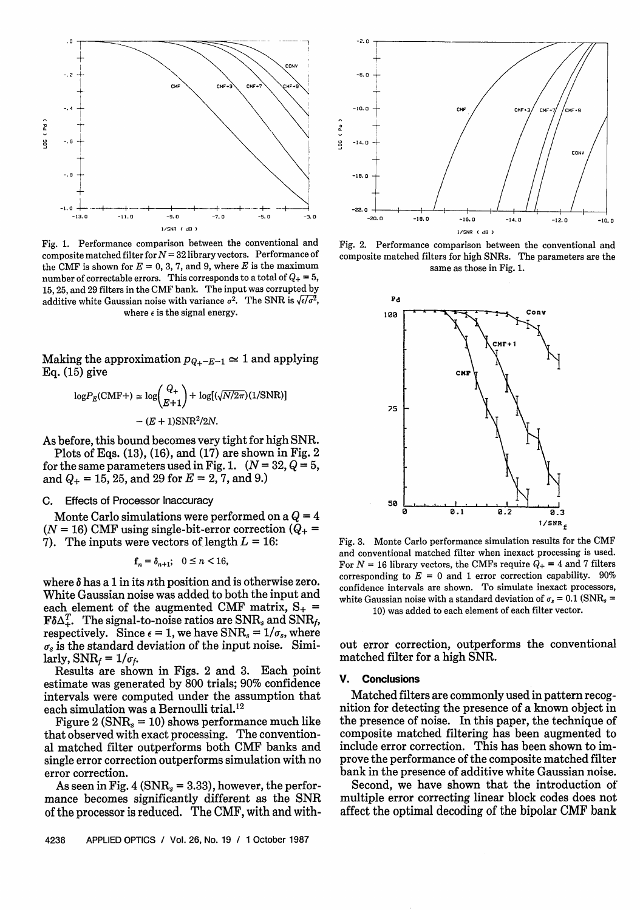

Fig. 1. Performance comparison between the conventional and composite matched filter for  $N = 32$  library vectors. Performance of the CMF is shown for  $E = 0, 3, 7,$  and 9, where  $E$  is the maximum number of correctable errors. This corresponds to a total of  $Q_+ = 5$ , 15, 25, and 29 filters in the CMF bank. The input was corrupted by additive white Gaussian noise with variance  $\sigma^2$ . The SNR is  $\sqrt{\epsilon/\sigma^2}$ where  $\epsilon$  is the signal energy.

Making the approximation  $p_{Q_+ - E - 1} \simeq 1$  and applying Eq. (15) give

$$
\log P_E(\text{CMF+}) \simeq \log \binom{Q_+}{E+1} + \log \left( \sqrt{N/2\pi} \right) \left( \frac{1}{\text{SNR}} \right)
$$

$$
- \left( E + 1 \right) \text{SNR}^2 / 2N.
$$

As before, this bound becomes very tight for high SNR.

Plots of Eqs. (13), (16), and (17) are shown in Fig. 2 for the same parameters used in Fig. 1.  $(N = 32, Q = 5,$ and  $Q_+ = 15$ , 25, and 29 for  $E = 2$ , 7, and 9.)

# C. Effects of Processor Inaccuracy

Monte Carlo simulations were performed on a  $Q = 4$  $(N = 16)$  CMF using single-bit-error correction  $(Q_{+} =$ 7). The inputs were vectors of length  $L = 16$ :

$$
\mathbf{f}_n = \delta_{n+1}; \quad 0 \le n < 16,
$$

where  $\delta$  has a 1 in its *n*th position and is otherwise zero. White Gaussian noise was added to both the input and each element of the augmented CMF matrix,  $S_{+}$  =  $F\delta\Delta_+^T$ . The signal-to-noise ratios are SNR<sub>s</sub> and SNR<sub>f</sub>, respectively. Since  $\epsilon = 1$ , we have SNR<sub>s</sub> =  $1/\sigma_s$ , where  $\sigma_s$  is the standard deviation of the input noise. Similarly,  $SNR_f = 1/\sigma_f$ .

Results are shown in Figs. 2 and 3. Each point estimate was generated by 800 trials; 90% confidence intervals were computed under the assumption that each simulation was a Bernoulli trial.<sup>12</sup>

Figure 2 ( $SNR_s = 10$ ) shows performance much like that observed with exact processing. The conventional matched filter outperforms both CMF banks and single error correction outperforms simulation with no error correction.

As seen in Fig. 4 ( $\text{SNR}_s = 3.33$ ), however, the performance becomes significantly different as the SNR of the processor is reduced. The CMF, with and with-



Fig. 2. Performance comparison between the conventional and composite matched filters for high SNRs. The parameters are the same as those in Fig. 1.



Fig. 3. Monte Carlo performance simulation results for the CMF and conventional matched filter when inexact processing is used. For  $N = 16$  library vectors, the CMFs require  $Q_+ = 4$  and 7 filters corresponding to  $E = 0$  and 1 error correction capability. 90% confidence intervals are shown. To simulate inexact processors, white Gaussian noise with a standard deviation of  $\sigma_s = 0.1$  (SNR<sub>s</sub> = 10) was added to each element of each filter vector.

out error correction, outperforms the conventional matched filter for a high SNR.

## **V. Conclusions**

Matched filters are commonly used in pattern recognition for detecting the presence of a known object in the presence of noise. In this paper, the technique of composite matched filtering has been augmented to include error correction. This has been shown to improve the performance of the composite matched filter bank in the presence of additive white Gaussian noise.

Second, we have shown that the introduction of multiple error correcting linear block codes does not affect the optimal decoding of the bipolar CMF bank